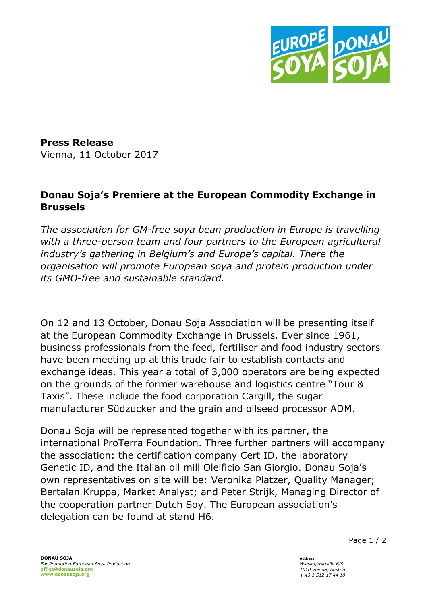

**Press Release**  Vienna, 11 October 2017

## **Donau Soja's Premiere at the European Commodity Exchange in Brussels**

*The association for GM-free soya bean production in Europe is travelling with a three-person team and four partners to the European agricultural industry's gathering in Belgium's and Europe's capital. There the organisation will promote European soya and protein production under its GMO-free and sustainable standard.*

On 12 and 13 October, Donau Soja Association will be presenting itself at the European Commodity Exchange in Brussels. Ever since 1961, business professionals from the feed, fertiliser and food industry sectors have been meeting up at this trade fair to establish contacts and exchange ideas. This year a total of 3,000 operators are being expected on the grounds of the former warehouse and logistics centre "Tour & Taxis". These include the food corporation Cargill, the sugar manufacturer Südzucker and the grain and oilseed processor ADM.

Donau Soja will be represented together with its partner, the international ProTerra Foundation. Three further partners will accompany the association: the certification company Cert ID, the laboratory Genetic ID, and the Italian oil mill Oleificio San Giorgio. Donau Soja's own representatives on site will be: Veronika Platzer, Quality Manager; Bertalan Kruppa, Market Analyst; and Peter Strijk, Managing Director of the cooperation partner Dutch Soy. The European association's delegation can be found at stand H6.